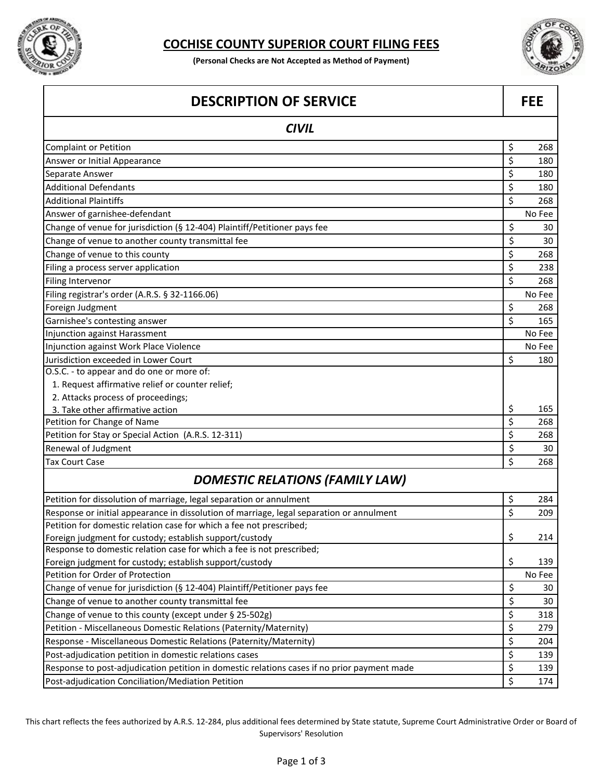

## **COCHISE COUNTY SUPERIOR COURT FILING FEES**

**(Personal Checks are Not Accepted as Method of Payment)**



| <b>DESCRIPTION OF SERVICE</b>                                                               |    | <b>FEE</b> |  |
|---------------------------------------------------------------------------------------------|----|------------|--|
| <b>CIVIL</b>                                                                                |    |            |  |
| <b>Complaint or Petition</b>                                                                | \$ | 268        |  |
| Answer or Initial Appearance                                                                | \$ | 180        |  |
| Separate Answer                                                                             | \$ | 180        |  |
| <b>Additional Defendants</b>                                                                | \$ | 180        |  |
| <b>Additional Plaintiffs</b>                                                                | \$ | 268        |  |
| Answer of garnishee-defendant                                                               |    | No Fee     |  |
| Change of venue for jurisdiction (§ 12-404) Plaintiff/Petitioner pays fee                   | \$ | 30         |  |
| Change of venue to another county transmittal fee                                           | \$ | 30         |  |
| Change of venue to this county                                                              | \$ | 268        |  |
| Filing a process server application                                                         | \$ | 238        |  |
| Filing Intervenor                                                                           | \$ | 268        |  |
| Filing registrar's order (A.R.S. § 32-1166.06)                                              |    | No Fee     |  |
| Foreign Judgment                                                                            | \$ | 268        |  |
| Garnishee's contesting answer                                                               | \$ | 165        |  |
| Injunction against Harassment                                                               |    | No Fee     |  |
| Injunction against Work Place Violence                                                      |    | No Fee     |  |
| Jurisdiction exceeded in Lower Court                                                        | \$ | 180        |  |
| O.S.C. - to appear and do one or more of:                                                   |    |            |  |
| 1. Request affirmative relief or counter relief;                                            |    |            |  |
| 2. Attacks process of proceedings;                                                          |    |            |  |
| 3. Take other affirmative action                                                            | \$ | 165        |  |
| Petition for Change of Name                                                                 | \$ | 268        |  |
| Petition for Stay or Special Action (A.R.S. 12-311)                                         | \$ | 268        |  |
| Renewal of Judgment                                                                         | \$ | 30         |  |
| <b>Tax Court Case</b>                                                                       | \$ | 268        |  |
| <b>DOMESTIC RELATIONS (FAMILY LAW)</b>                                                      |    |            |  |
| Petition for dissolution of marriage, legal separation or annulment                         | \$ | 284        |  |
| Response or initial appearance in dissolution of marriage, legal separation or annulment    | \$ | 209        |  |
| Petition for domestic relation case for which a fee not prescribed;                         |    |            |  |
| Foreign judgment for custody; establish support/custody                                     | \$ | 214        |  |
| Response to domestic relation case for which a fee is not prescribed;                       |    |            |  |
| Foreign judgment for custody; establish support/custody                                     | \$ | 139        |  |
| Petition for Order of Protection                                                            |    | No Fee     |  |
| Change of venue for jurisdiction (§ 12-404) Plaintiff/Petitioner pays fee                   | \$ | 30         |  |
| Change of venue to another county transmittal fee                                           | \$ | 30         |  |
| Change of venue to this county (except under § 25-502g)                                     | \$ | 318        |  |
| Petition - Miscellaneous Domestic Relations (Paternity/Maternity)                           | \$ | 279        |  |
| Response - Miscellaneous Domestic Relations (Paternity/Maternity)                           | \$ | 204        |  |
| Post-adjudication petition in domestic relations cases                                      | \$ | 139        |  |
| Response to post-adjudication petition in domestic relations cases if no prior payment made | \$ | 139        |  |
| Post-adjudication Conciliation/Mediation Petition                                           | \$ | 174        |  |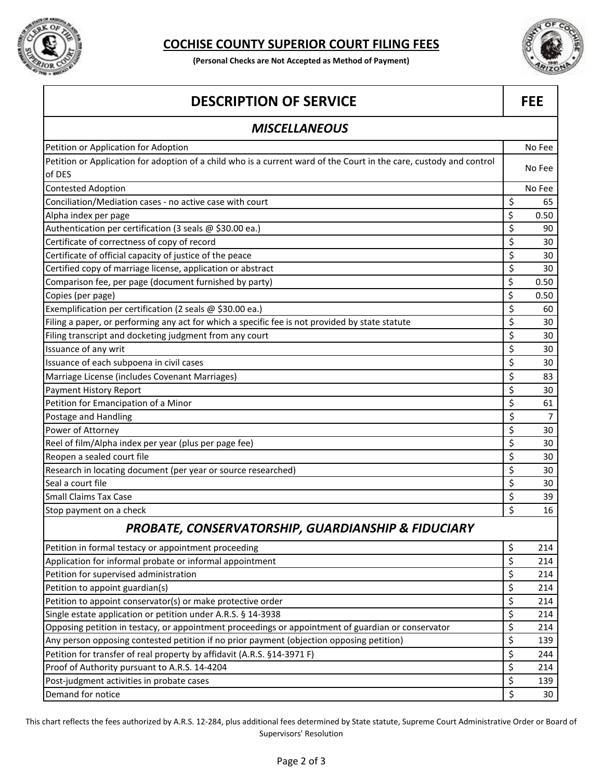

## **COCHISE COUNTY SUPERIOR COURT FILING FEES**

**(Personal Checks are Not Accepted as Method of Payment)**



## **DESCRIPTION OF SERVICE** FEE Petition or Application for Adoption No Fee extensive probability of the No Fee extensive probability of the No Fee extensive probability of the No Fee extensive probability of the No Fee extensive probability of the No Fe Petition or Application for adoption of a child who is a current ward of the Court in the care, custody and control<br>of DES Contested Adoption No Fee Conciliation/Mediation cases - no active case with court  $\begin{array}{ccc} 5 & 65 \end{array}$ Alpha index per page  $\begin{bmatrix} 5 & 0.50 \end{bmatrix}$ Authentication per certification (3 seals @ \$30.00 ea.)  $\begin{array}{c} \text{5} \\ \text{6} \end{array}$  90 Certificate of correctness of copy of record  $\sim$  30 Certificate of official capacity of justice of the peace  $\begin{array}{ccc} 1 & 30 \\ 5 & 30 \end{array}$ Certified copy of marriage license, application or abstract **\$** 30 Comparison fee, per page (document furnished by party)  $\begin{array}{ccc} 5 & 0.50 \end{array}$ Copies (per page)  $\begin{bmatrix} 5 & 0.50 \end{bmatrix}$ Exemplification per certification (2 seals  $\omega$  \$30.00 ea.)  $\qquad \qquad$  60 Filing a paper, or performing any act for which a specific fee is not provided by state statute  $\begin{array}{|c|c|c|c|c|}\n\hline\n\end{array}$  \$ 30 Filing transcript and docketing judgment from any court **\$** 30 Issuance of any writ  $\begin{array}{ccc} \S & \S & \S \end{array}$ Issuance of each subpoena in civil cases  $\begin{pmatrix} 5 & 30 \end{pmatrix}$ Marriage License (includes Covenant Marriages) \$ 83 Payment History Report  $\sim$  30 Petition for Emancipation of a Minor  $\begin{array}{c} \hline \end{array}$  61 Postage and Handling  $\begin{array}{ccc} \text{5} & \text{7} \end{array}$ Power of Attorney **2008** 30 Reel of film/Alpha index per year (plus per page fee)  $\vert$  \$ 30 Reopen a sealed court file  $\begin{pmatrix} 5 & 30 \end{pmatrix}$ Research in locating document (per year or source researched) **\$** 30 Seal a court file \$ 30 Small Claims Tax Case \$ 39  $\sim$  39  $\sim$  39  $\sim$  39  $\sim$  39  $\sim$  39  $\sim$  39  $\sim$  39  $\sim$  39  $\sim$  39  $\sim$  39  $\sim$  39  $\sim$  39  $\sim$  39  $\sim$  39  $\sim$  39  $\sim$  39  $\sim$  39  $\sim$  39  $\sim$  39  $\sim$  30  $\sim$  30  $\sim$  30  $\sim$  30  $\sim$  30  $\sim$ Stop payment on a check  $\vert$  \$ 16 Petition in formal testacy or appointment proceeding example of the state of the state of the state of the state of the state of the state of the state of the state of the state of the state of the state of the state of th Application for informal probate or informal appointment  $\vert$  set of the state of the state of  $\vert$  set of the state or informal appointment Petition for supervised administration  $\sim$  214 Petition to appoint guardian(s)  $\zeta$  214 Petition to appoint conservator(s) or make protective order **\$ 214**  $\frac{1}{5}$  214 Single estate application or petition under A.R.S. § 14-3938  $\vert$  314 Opposing petition in testacy, or appointment proceedings or appointment of guardian or conservator  $\frac{1}{5}$  214 Any person opposing contested petition if no prior payment (objection opposing petition)  $\begin{array}{c} \uparrow \\ \downarrow \end{array}$  \$ 139 Petition for transfer of real property by affidavit (A.R.S. §14-3971 F)  $\qquad \qquad$   $\qquad \qquad$   $\qquad \qquad$   $\qquad \qquad$  244 Proof of Authority pursuant to A.R.S. 14-4204  $\sim$  214 Post-judgment activities in probate cases **139** and the set of the set of the set of the set of the set of the set of the set of the set of the set of the set of the set of the set of the set of the set of the set of the s *MISCELLANEOUS PROBATE, CONSERVATORSHIP, GUARDIANSHIP & FIDUCIARY*

Demand for notice  $\vert$  \$ 30

This chart reflects the fees authorized by A.R.S. 12-284, plus additional fees determined by State statute, Supreme Court Administrative Order or Board of Supervisors' Resolution